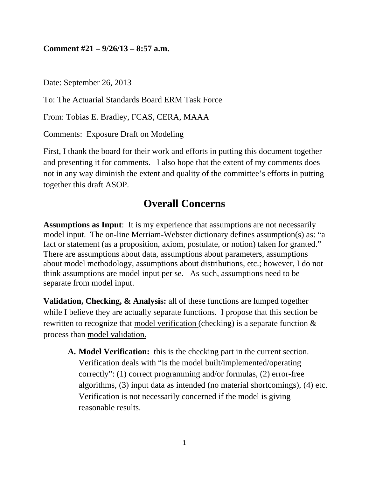#### **Comment #21 – 9/26/13 – 8:57 a.m.**

Date: September 26, 2013

To: The Actuarial Standards Board ERM Task Force

From: Tobias E. Bradley, FCAS, CERA, MAAA

Comments: Exposure Draft on Modeling

First, I thank the board for their work and efforts in putting this document together and presenting it for comments. I also hope that the extent of my comments does not in any way diminish the extent and quality of the committee's efforts in putting together this draft ASOP.

### **Overall Concerns**

**Assumptions as Input**: It is my experience that assumptions are not necessarily model input. The on-line Merriam-Webster dictionary defines assumption(s) as: "a fact or statement (as a proposition, axiom, postulate, or notion) taken for granted." There are assumptions about data, assumptions about parameters, assumptions about model methodology, assumptions about distributions, etc.; however, I do not think assumptions are model input per se. As such, assumptions need to be separate from model input.

**Validation, Checking, & Analysis:** all of these functions are lumped together while I believe they are actually separate functions. I propose that this section be rewritten to recognize that model verification (checking) is a separate function & process than model validation.

**A. Model Verification:** this is the checking part in the current section. Verification deals with "is the model built/implemented/operating correctly": (1) correct programming and/or formulas, (2) error-free algorithms, (3) input data as intended (no material shortcomings), (4) etc. Verification is not necessarily concerned if the model is giving reasonable results.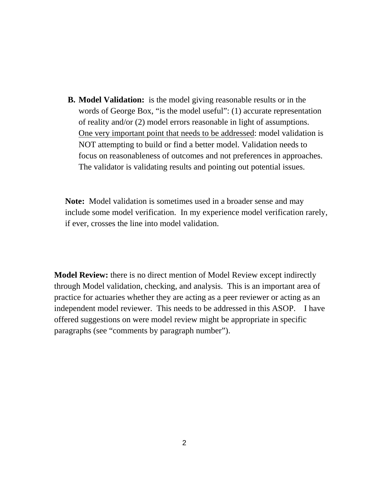**B. Model Validation:** is the model giving reasonable results or in the words of George Box, "is the model useful": (1) accurate representation of reality and/or (2) model errors reasonable in light of assumptions. One very important point that needs to be addressed: model validation is NOT attempting to build or find a better model. Validation needs to focus on reasonableness of outcomes and not preferences in approaches. The validator is validating results and pointing out potential issues.

**Note:** Model validation is sometimes used in a broader sense and may include some model verification. In my experience model verification rarely, if ever, crosses the line into model validation.

**Model Review:** there is no direct mention of Model Review except indirectly through Model validation, checking, and analysis. This is an important area of practice for actuaries whether they are acting as a peer reviewer or acting as an independent model reviewer. This needs to be addressed in this ASOP. I have offered suggestions on were model review might be appropriate in specific paragraphs (see "comments by paragraph number").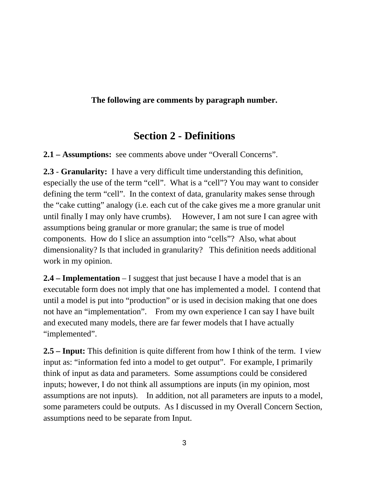### **The following are comments by paragraph number.**

## **Section 2 - Definitions**

**2.1 – Assumptions:** see comments above under "Overall Concerns".

**2.3** - **Granularity:** I have a very difficult time understanding this definition, especially the use of the term "cell". What is a "cell"? You may want to consider defining the term "cell". In the context of data, granularity makes sense through the "cake cutting" analogy (i.e. each cut of the cake gives me a more granular unit until finally I may only have crumbs). However, I am not sure I can agree with assumptions being granular or more granular; the same is true of model components. How do I slice an assumption into "cells"? Also, what about dimensionality? Is that included in granularity? This definition needs additional work in my opinion.

**2.4 – Implementation** – I suggest that just because I have a model that is an executable form does not imply that one has implemented a model. I contend that until a model is put into "production" or is used in decision making that one does not have an "implementation". From my own experience I can say I have built and executed many models, there are far fewer models that I have actually "implemented".

**2.5 – Input:** This definition is quite different from how I think of the term. I view input as: "information fed into a model to get output". For example, I primarily think of input as data and parameters. Some assumptions could be considered inputs; however, I do not think all assumptions are inputs (in my opinion, most assumptions are not inputs). In addition, not all parameters are inputs to a model, some parameters could be outputs. As I discussed in my Overall Concern Section, assumptions need to be separate from Input.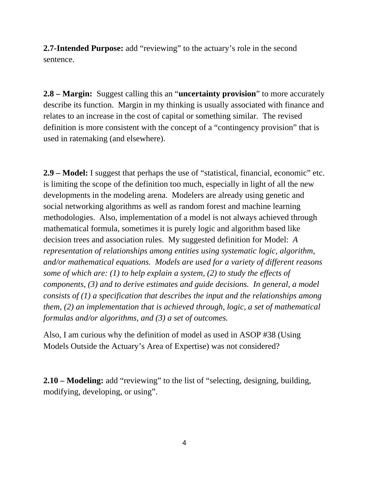**2.7-Intended Purpose:** add "reviewing" to the actuary's role in the second sentence.

**2.8 – Margin:** Suggest calling this an "**uncertainty provision**" to more accurately describe its function. Margin in my thinking is usually associated with finance and relates to an increase in the cost of capital or something similar. The revised definition is more consistent with the concept of a "contingency provision" that is used in ratemaking (and elsewhere).

**2.9 – Model:** I suggest that perhaps the use of "statistical, financial, economic" etc. is limiting the scope of the definition too much, especially in light of all the new developments in the modeling arena. Modelers are already using genetic and social networking algorithms as well as random forest and machine learning methodologies. Also, implementation of a model is not always achieved through mathematical formula, sometimes it is purely logic and algorithm based like decision trees and association rules. My suggested definition for Model: *A representation of relationships among entities using systematic logic, algorithm, and/or mathematical equations. Models are used for a variety of different reasons some of which are: (1) to help explain a system, (2) to study the effects of components, (3) and to derive estimates and guide decisions. In general, a model consists of (1) a specification that describes the input and the relationships among them, (2) an implementation that is achieved through, logic, a set of mathematical formulas and/or algorithms, and (3) a set of outcomes.* 

Also, I am curious why the definition of model as used in ASOP #38 (Using Models Outside the Actuary's Area of Expertise) was not considered?

**2.10 – Modeling:** add "reviewing" to the list of "selecting, designing, building, modifying, developing, or using".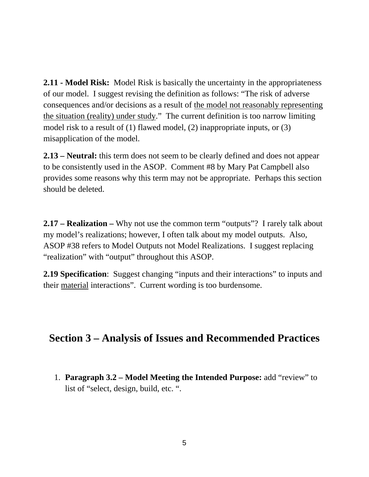**2.11 - Model Risk:** Model Risk is basically the uncertainty in the appropriateness of our model. I suggest revising the definition as follows: "The risk of adverse consequences and/or decisions as a result of the model not reasonably representing the situation (reality) under study." The current definition is too narrow limiting model risk to a result of (1) flawed model, (2) inappropriate inputs, or (3) misapplication of the model.

**2.13 – Neutral:** this term does not seem to be clearly defined and does not appear to be consistently used in the ASOP. Comment #8 by Mary Pat Campbell also provides some reasons why this term may not be appropriate. Perhaps this section should be deleted.

**2.17 – Realization –** Why not use the common term "outputs"? I rarely talk about my model's realizations; however, I often talk about my model outputs. Also, ASOP #38 refers to Model Outputs not Model Realizations. I suggest replacing "realization" with "output" throughout this ASOP.

**2.19 Specification**: Suggest changing "inputs and their interactions" to inputs and their material interactions". Current wording is too burdensome.

## **Section 3 – Analysis of Issues and Recommended Practices**

1. **Paragraph 3.2 – Model Meeting the Intended Purpose:** add "review" to list of "select, design, build, etc. ".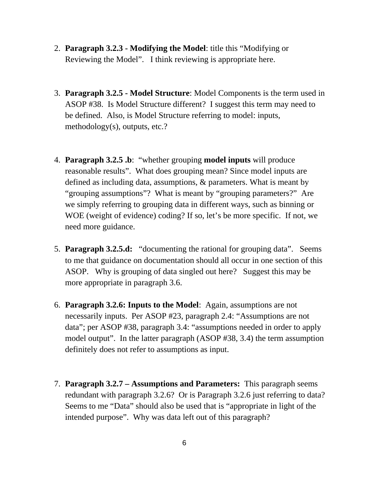- 2. **Paragraph 3.2.3 Modifying the Model**: title this "Modifying or Reviewing the Model". I think reviewing is appropriate here.
- 3. **Paragraph 3.2.5 Model Structure**: Model Components is the term used in ASOP #38. Is Model Structure different? I suggest this term may need to be defined. Also, is Model Structure referring to model: inputs, methodology(s), outputs, etc.?
- 4. **Paragraph 3.2.5 .b**: "whether grouping **model inputs** will produce reasonable results". What does grouping mean? Since model inputs are defined as including data, assumptions, & parameters. What is meant by "grouping assumptions"? What is meant by "grouping parameters?" Are we simply referring to grouping data in different ways, such as binning or WOE (weight of evidence) coding? If so, let's be more specific. If not, we need more guidance.
- 5. **Paragraph 3.2.5.d:** "documenting the rational for grouping data". Seems to me that guidance on documentation should all occur in one section of this ASOP. Why is grouping of data singled out here? Suggest this may be more appropriate in paragraph 3.6.
- 6. **Paragraph 3.2.6: Inputs to the Model**: Again, assumptions are not necessarily inputs. Per ASOP #23, paragraph 2.4: "Assumptions are not data"; per ASOP #38, paragraph 3.4: "assumptions needed in order to apply model output". In the latter paragraph (ASOP #38, 3.4) the term assumption definitely does not refer to assumptions as input.
- 7. **Paragraph 3.2.7 Assumptions and Parameters:** This paragraph seems redundant with paragraph 3.2.6? Or is Paragraph 3.2.6 just referring to data? Seems to me "Data" should also be used that is "appropriate in light of the intended purpose". Why was data left out of this paragraph?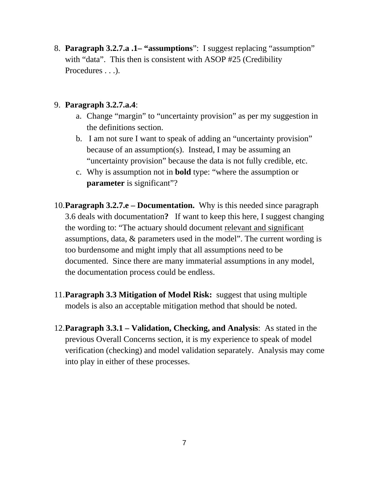8. **Paragraph 3.2.7.a .1– "assumptions**":I suggest replacing "assumption" with "data". This then is consistent with ASOP #25 (Credibility Procedures . . . ).

#### 9. **Paragraph 3.2.7.a.4**:

- a. Change "margin" to "uncertainty provision" as per my suggestion in the definitions section.
- b. I am not sure I want to speak of adding an "uncertainty provision" because of an assumption(s). Instead, I may be assuming an "uncertainty provision" because the data is not fully credible, etc.
- c. Why is assumption not in **bold** type: "where the assumption or **parameter** is significant"?
- 10.**Paragraph 3.2.7.e Documentation.** Why is this needed since paragraph 3.6 deals with documentation**?** If want to keep this here, I suggest changing the wording to: "The actuary should document relevant and significant assumptions, data, & parameters used in the model". The current wording is too burdensome and might imply that all assumptions need to be documented. Since there are many immaterial assumptions in any model, the documentation process could be endless.
- 11.**Paragraph 3.3 Mitigation of Model Risk:** suggest that using multiple models is also an acceptable mitigation method that should be noted.
- 12.**Paragraph 3.3.1 Validation, Checking, and Analysis**: As stated in the previous Overall Concerns section, it is my experience to speak of model verification (checking) and model validation separately. Analysis may come into play in either of these processes.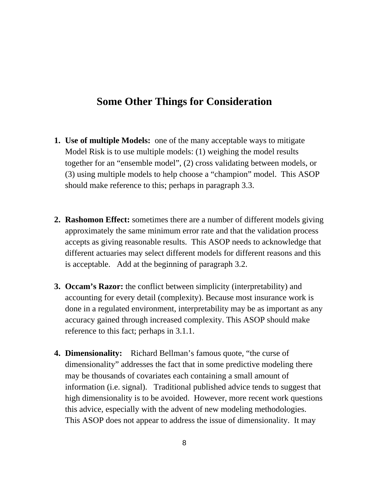### **Some Other Things for Consideration**

- **1. Use of multiple Models:** one of the many acceptable ways to mitigate Model Risk is to use multiple models: (1) weighing the model results together for an "ensemble model", (2) cross validating between models, or (3) using multiple models to help choose a "champion" model. This ASOP should make reference to this; perhaps in paragraph 3.3.
- **2. Rashomon Effect:** sometimes there are a number of different models giving approximately the same minimum error rate and that the validation process accepts as giving reasonable results. This ASOP needs to acknowledge that different actuaries may select different models for different reasons and this is acceptable. Add at the beginning of paragraph 3.2.
- **3. Occam's Razor:** the conflict between simplicity (interpretability) and accounting for every detail (complexity). Because most insurance work is done in a regulated environment, interpretability may be as important as any accuracy gained through increased complexity. This ASOP should make reference to this fact; perhaps in 3.1.1.
- **4. Dimensionality:** Richard Bellman's famous quote, "the curse of dimensionality" addresses the fact that in some predictive modeling there may be thousands of covariates each containing a small amount of information (i.e. signal). Traditional published advice tends to suggest that high dimensionality is to be avoided. However, more recent work questions this advice, especially with the advent of new modeling methodologies. This ASOP does not appear to address the issue of dimensionality. It may